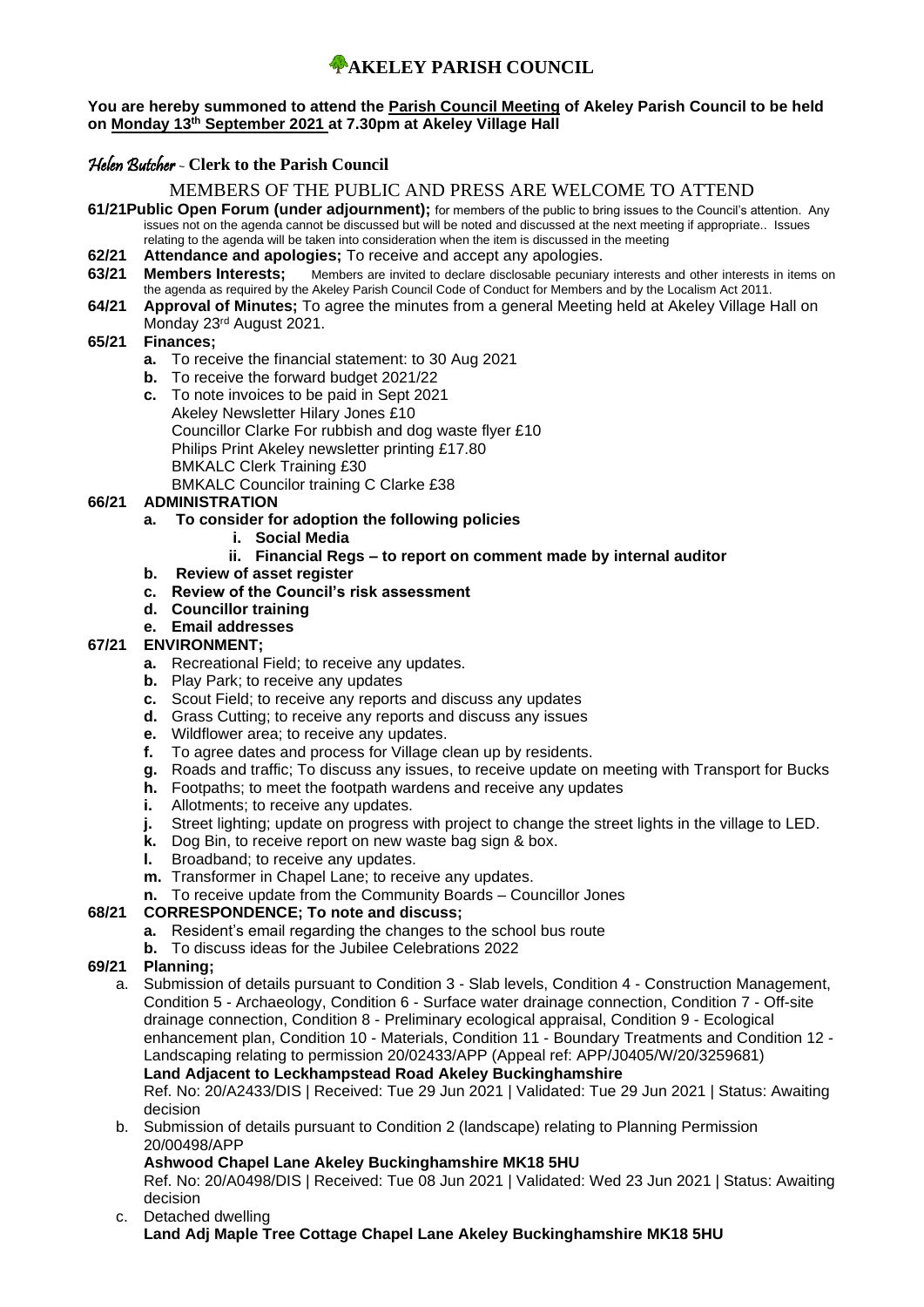#### **You are hereby summoned to attend the Parish Council Meeting of Akeley Parish Council to be held on Monday 13 th September 2021 at 7.30pm at Akeley Village Hall**

# Helen Butcher - **Clerk to the Parish Council**

# MEMBERS OF THE PUBLIC AND PRESS ARE WELCOME TO ATTEND

- **61/21Public Open Forum (under adjournment);** for members of the public to bring issues to the Council's attention. Any issues not on the agenda cannot be discussed but will be noted and discussed at the next meeting if appropriate.. Issues relating to the agenda will be taken into consideration when the item is discussed in the meeting
- **62/21 Attendance and apologies;** To receive and accept any apologies.
- **63/21 Members Interests;** Members are invited to declare disclosable pecuniary interests and other interests in items on the agenda as required by the Akeley Parish Council Code of Conduct for Members and by the Localism Act 2011.
- **64/21 Approval of Minutes;** To agree the minutes from a general Meeting held at Akeley Village Hall on Monday 23rd August 2021.

# **65/21 Finances;**

- **a.** To receive the financial statement: to 30 Aug 2021
- **b.** To receive the forward budget 2021/22
- **c.** To note invoices to be paid in Sept 2021 Akeley Newsletter Hilary Jones £10 Councillor Clarke For rubbish and dog waste flyer £10 Philips Print Akeley newsletter printing £17.80 BMKALC Clerk Training £30 BMKALC Councilor training C Clarke £38

# **66/21 ADMINISTRATION**

- **a. To consider for adoption the following policies**
	- **i. Social Media**

# **ii. Financial Regs – to report on comment made by internal auditor**

- **b. Review of asset register**
- **c. Review of the Council's risk assessment**
- **d. Councillor training**
- **e. Email addresses**

#### **67/21 ENVIRONMENT;**

- **a.** Recreational Field; to receive any updates.
- **b.** Play Park; to receive any updates
- **c.** Scout Field; to receive any reports and discuss any updates
- **d.** Grass Cutting; to receive any reports and discuss any issues
- **e.** Wildflower area; to receive any updates.
- **f.** To agree dates and process for Village clean up by residents.
- **g.** Roads and traffic; To discuss any issues, to receive update on meeting with Transport for Bucks
- **h.** Footpaths; to meet the footpath wardens and receive any updates
- **i.** Allotments; to receive any updates.
- **j.** Street lighting; update on progress with project to change the street lights in the village to LED.
- **k.** Dog Bin, to receive report on new waste bag sign & box.
- **l.** Broadband; to receive any updates.
- **m.** Transformer in Chapel Lane; to receive any updates.
- **n.** To receive update from the Community Boards Councillor Jones

# **68/21 CORRESPONDENCE; To note and discuss;**

- **a.** Resident's email regarding the changes to the school bus route
- **b.** To discuss ideas for the Jubilee Celebrations 2022

# **69/21 Planning;**

a. Submission of details pursuant to Condition 3 - Slab levels, Condition 4 - Construction Management, Condition 5 - Archaeology, Condition 6 - Surface water drainage connection, Condition 7 - Off-site drainage connection, Condition 8 - Preliminary ecological appraisal, Condition 9 - Ecological enhancement plan, Condition 10 - Materials, Condition 11 - Boundary Treatments and Condition 12 - Landscaping relating to permission 20/02433/APP (Appeal ref: APP/J0405/W/20/3259681) **Land Adjacent to Leckhampstead Road Akeley Buckinghamshire**

Ref. No: 20/A2433/DIS | Received: Tue 29 Jun 2021 | Validated: Tue 29 Jun 2021 | Status: Awaiting decision

b. Submission of details pursuant to Condition 2 (landscape) relating to Planning Permission 20/00498/APP

# **Ashwood Chapel Lane Akeley Buckinghamshire MK18 5HU**

Ref. No: 20/A0498/DIS | Received: Tue 08 Jun 2021 | Validated: Wed 23 Jun 2021 | Status: Awaiting decision

c. Detached dwelling **Land Adj Maple Tree Cottage Chapel Lane Akeley Buckinghamshire MK18 5HU**